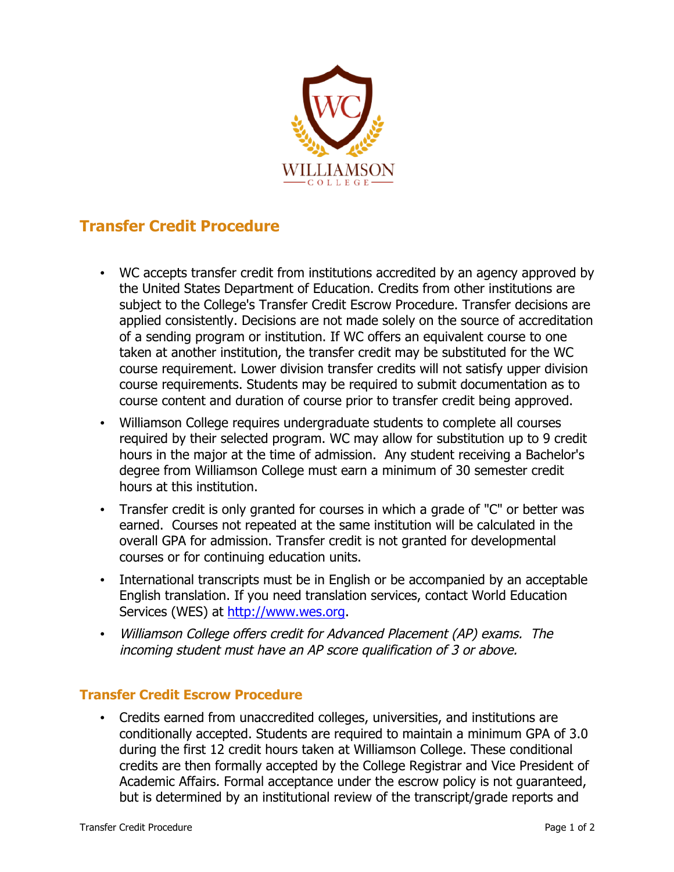

## **Transfer Credit Procedure**

- WC accepts transfer credit from institutions accredited by an agency approved by the United States Department of Education. Credits from other institutions are subject to the College's Transfer Credit Escrow Procedure. Transfer decisions are applied consistently. Decisions are not made solely on the source of accreditation of a sending program or institution. If WC offers an equivalent course to one taken at another institution, the transfer credit may be substituted for the WC course requirement. Lower division transfer credits will not satisfy upper division course requirements. Students may be required to submit documentation as to course content and duration of course prior to transfer credit being approved.
- Williamson College requires undergraduate students to complete all courses required by their selected program. WC may allow for substitution up to 9 credit hours in the major at the time of admission. Any student receiving a Bachelor's degree from Williamson College must earn a minimum of 30 semester credit hours at this institution.
- Transfer credit is only granted for courses in which a grade of "C" or better was earned. Courses not repeated at the same institution will be calculated in the overall GPA for admission. Transfer credit is not granted for developmental courses or for continuing education units.
- International transcripts must be in English or be accompanied by an acceptable English translation. If you need translation services, contact World Education Services (WES) at http://www.wes.org.
- Williamson College offers credit for Advanced Placement (AP) exams. The incoming student must have an AP score qualification of 3 or above.

## **Transfer Credit Escrow Procedure**

• Credits earned from unaccredited colleges, universities, and institutions are conditionally accepted. Students are required to maintain a minimum GPA of 3.0 during the first 12 credit hours taken at Williamson College. These conditional credits are then formally accepted by the College Registrar and Vice President of Academic Affairs. Formal acceptance under the escrow policy is not guaranteed, but is determined by an institutional review of the transcript/grade reports and